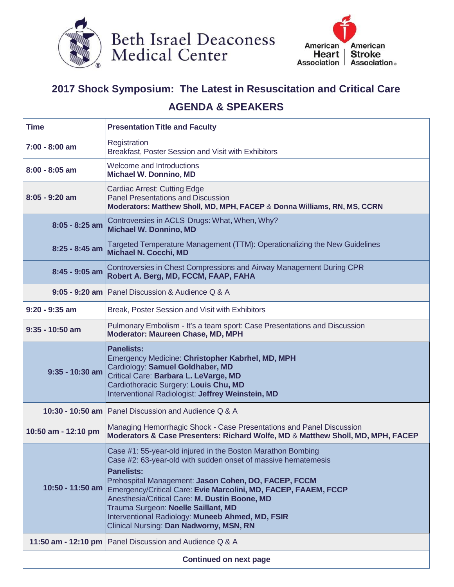



## **2017 Shock Symposium: The Latest in Resuscitation and Critical Care AGENDA & SPEAKERS**

| <b>Time</b>         | <b>Presentation Title and Faculty</b>                                                                                                                                                                                                                                                                                                                                                                                                                               |
|---------------------|---------------------------------------------------------------------------------------------------------------------------------------------------------------------------------------------------------------------------------------------------------------------------------------------------------------------------------------------------------------------------------------------------------------------------------------------------------------------|
| $7:00 - 8:00$ am    | Registration<br>Breakfast, Poster Session and Visit with Exhibitors                                                                                                                                                                                                                                                                                                                                                                                                 |
| $8:00 - 8:05$ am    | <b>Welcome and Introductions</b><br><b>Michael W. Donnino, MD</b>                                                                                                                                                                                                                                                                                                                                                                                                   |
| $8:05 - 9:20$ am    | <b>Cardiac Arrest: Cutting Edge</b><br><b>Panel Presentations and Discussion</b><br>Moderators: Matthew Sholl, MD, MPH, FACEP & Donna Williams, RN, MS, CCRN                                                                                                                                                                                                                                                                                                        |
| $8:05 - 8:25$ am    | Controversies in ACLS Drugs: What, When, Why?<br><b>Michael W. Donnino, MD</b>                                                                                                                                                                                                                                                                                                                                                                                      |
| $8:25 - 8:45$ am    | Targeted Temperature Management (TTM): Operationalizing the New Guidelines<br>Michael N. Cocchi, MD                                                                                                                                                                                                                                                                                                                                                                 |
| $8:45 - 9:05$ am    | Controversies in Chest Compressions and Airway Management During CPR<br>Robert A. Berg, MD, FCCM, FAAP, FAHA                                                                                                                                                                                                                                                                                                                                                        |
|                     | 9:05 - 9:20 am   Panel Discussion & Audience Q & A                                                                                                                                                                                                                                                                                                                                                                                                                  |
| $9:20 - 9:35$ am    | Break, Poster Session and Visit with Exhibitors                                                                                                                                                                                                                                                                                                                                                                                                                     |
| $9:35 - 10:50$ am   | Pulmonary Embolism - It's a team sport: Case Presentations and Discussion<br>Moderator: Maureen Chase, MD, MPH                                                                                                                                                                                                                                                                                                                                                      |
| $9:35 - 10:30$ am   | <b>Panelists:</b><br>Emergency Medicine: Christopher Kabrhel, MD, MPH<br>Cardiology: Samuel Goldhaber, MD<br>Critical Care: Barbara L. LeVarge, MD<br>Cardiothoracic Surgery: Louis Chu, MD<br>Interventional Radiologist: Jeffrey Weinstein, MD                                                                                                                                                                                                                    |
|                     | 10:30 - 10:50 am   Panel Discussion and Audience Q & A                                                                                                                                                                                                                                                                                                                                                                                                              |
| 10:50 am - 12:10 pm | Managing Hemorrhagic Shock - Case Presentations and Panel Discussion<br>Moderators & Case Presenters: Richard Wolfe, MD & Matthew Sholl, MD, MPH, FACEP                                                                                                                                                                                                                                                                                                             |
| 10:50 - 11:50 am    | Case #1: 55-year-old injured in the Boston Marathon Bombing<br>Case #2: 63-year-old with sudden onset of massive hematemesis<br><b>Panelists:</b><br>Prehospital Management: Jason Cohen, DO, FACEP, FCCM<br>Emergency/Critical Care: Evie Marcolini, MD, FACEP, FAAEM, FCCP<br>Anesthesia/Critical Care: M. Dustin Boone, MD<br>Trauma Surgeon: Noelle Saillant, MD<br>Interventional Radiology: Muneeb Ahmed, MD, FSIR<br>Clinical Nursing: Dan Nadworny, MSN, RN |
|                     |                                                                                                                                                                                                                                                                                                                                                                                                                                                                     |
|                     | 11:50 am - 12:10 pm   Panel Discussion and Audience Q & A                                                                                                                                                                                                                                                                                                                                                                                                           |